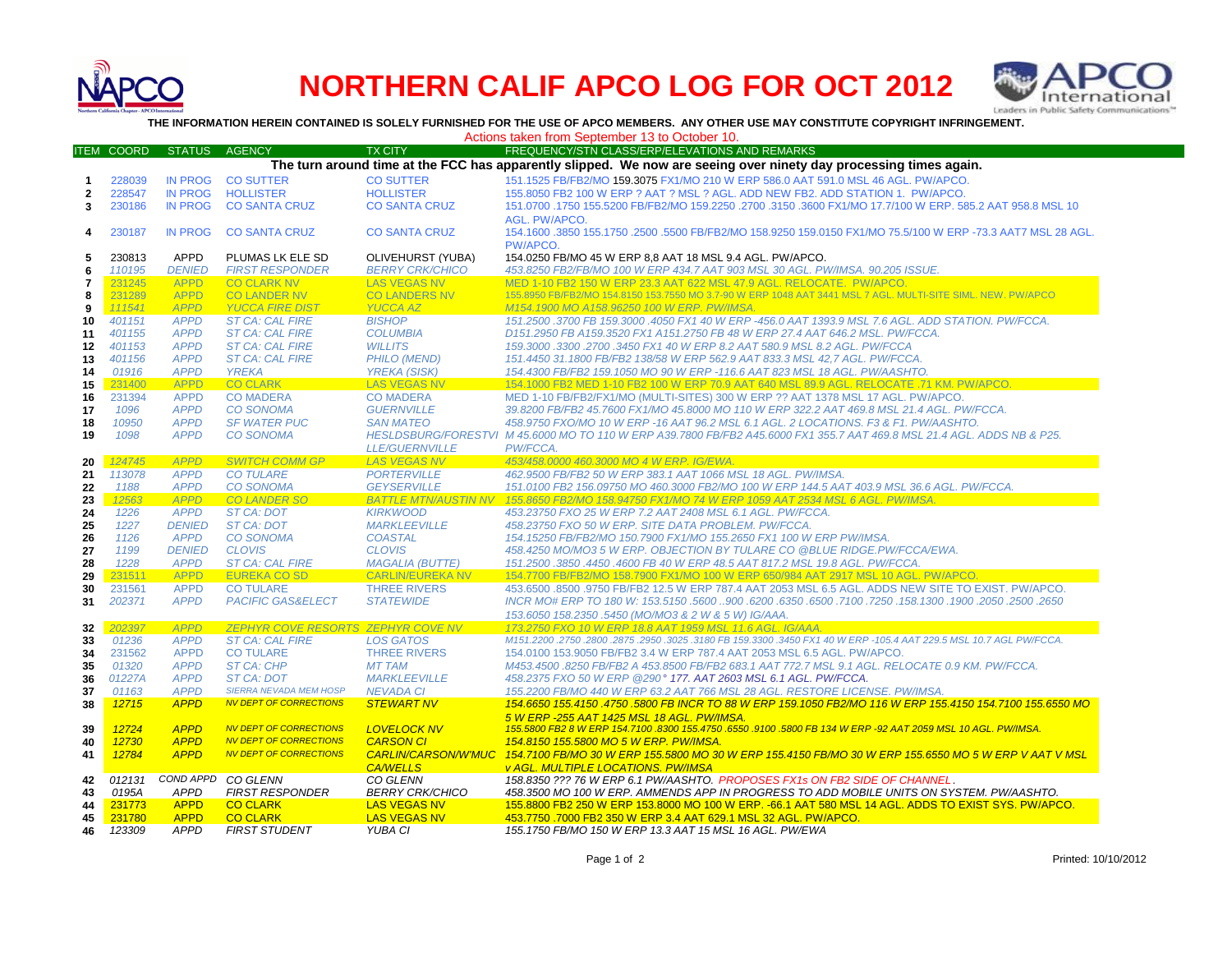

# **NORTHERN CALIF APCO LOG FOR OCT 2012**



**THE INFORMATION HEREIN CONTAINED IS SOLELY FURNISHED FOR THE USE OF APCO MEMBERS. ANY OTHER USE MAY CONSTITUTE COPYRIGHT INFRINGEMENT.**

Actions taken from September 13 to October 10.

| <b>ITEM</b>                                                                                                       | <b>COORD</b>     | <b>STATUS</b>              | <b>AGENCY</b>                             | <b>TX CITY</b>                                 | FREQUENCY/STN CLASS/ERP/ELEVATIONS AND REMARKS                                                                                                                                            |  |  |  |
|-------------------------------------------------------------------------------------------------------------------|------------------|----------------------------|-------------------------------------------|------------------------------------------------|-------------------------------------------------------------------------------------------------------------------------------------------------------------------------------------------|--|--|--|
| The turn around time at the FCC has apparently slipped. We now are seeing over ninety day processing times again. |                  |                            |                                           |                                                |                                                                                                                                                                                           |  |  |  |
| -1                                                                                                                | 228039           | <b>IN PROG</b>             | <b>CO SUTTER</b>                          | <b>CO SUTTER</b>                               | 151.1525 FB/FB2/MO 159.3075 FX1/MO 210 W ERP 586.0 AAT 591.0 MSL 46 AGL. PW/APCO.                                                                                                         |  |  |  |
| 2                                                                                                                 | 228547           | <b>IN PROG</b>             | <b>HOLLISTER</b>                          | <b>HOLLISTER</b>                               | 155,8050 FB2 100 W ERP ? AAT ? MSL ? AGL, ADD NEW FB2, ADD STATION 1, PW/APCO,                                                                                                            |  |  |  |
| 3                                                                                                                 | 230186           | <b>IN PROG</b>             | <b>CO SANTA CRUZ</b>                      | <b>CO SANTA CRUZ</b>                           | 151.0700 .1750 155.5200 FB/FB2/MO 159.2250 .2700 .3150 .3600 FX1/MO 17.7/100 W ERP. 585.2 AAT 958.8 MSL 10                                                                                |  |  |  |
|                                                                                                                   |                  |                            |                                           |                                                | AGL. PW/APCO.                                                                                                                                                                             |  |  |  |
| 4                                                                                                                 | 230187           | <b>IN PROG</b>             | <b>CO SANTA CRUZ</b>                      | <b>CO SANTA CRUZ</b>                           | 154.1600 .3850 155.1750 .2500 .5500 FB/FB2/MO 158.9250 159.0150 FX1/MO 75.5/100 W ERP -73.3 AAT7 MSL 28 AGL.                                                                              |  |  |  |
|                                                                                                                   |                  |                            |                                           |                                                | PW/APCO.                                                                                                                                                                                  |  |  |  |
| 5                                                                                                                 | 230813           | <b>APPD</b>                | PLUMAS LK ELE SD                          | OLIVEHURST (YUBA)                              | 154.0250 FB/MO 45 W ERP 8.8 AAT 18 MSL 9.4 AGL. PW/APCO.                                                                                                                                  |  |  |  |
| 6                                                                                                                 | 110195           | <b>DENIED</b>              | <b>FIRST RESPONDER</b>                    | <b>BERRY CRK/CHICO</b>                         | 453.8250 FB2/FB/MO 100 W ERP 434.7 AAT 903 MSL 30 AGL. PW/IMSA. 90.205 ISSUE.                                                                                                             |  |  |  |
| 7                                                                                                                 | 231245           | <b>APPD</b>                | <b>CO CLARK NV</b>                        | <b>LAS VEGAS NV</b>                            | MED 1-10 FB2 150 W ERP 23.3 AAT 622 MSL 47.9 AGL. RELOCATE. PW/APCO.                                                                                                                      |  |  |  |
| 8                                                                                                                 | 231289           | <b>APPD</b>                | <b>CO LANDER NV</b>                       | <b>CO LANDERS NV</b>                           | 155.8950 FB/FB2/MO 154.8150 153.7550 MO 3.7-90 W ERP 1048 AAT 3441 MSL 7 AGL. MULTI-SITE SIML. NEW. PW/APCO                                                                               |  |  |  |
| 9                                                                                                                 | 111541           | <b>APPD</b>                | <b>YUCCA FIRE DIST</b>                    | <b>YUCCA AZ</b>                                | M154.1900 MO A158.96250 100 W ERP. PW/IMSA.                                                                                                                                               |  |  |  |
| 10                                                                                                                | 401151           | <b>APPD</b>                | <b>ST CA: CAL FIRE</b>                    | <b>BISHOP</b>                                  | 151.2500 .3700 FB 159.3000 .4050 FX1 40 W ERP -456.0 AAT 1393.9 MSL 7.6 AGL. ADD STATION. PW/FCCA.                                                                                        |  |  |  |
| 11                                                                                                                | 401155           | <b>APPD</b>                | <b>ST CA: CAL FIRE</b>                    | <b>COLUMBIA</b>                                | D151.2950 FB A159.3520 FX1 A151.2750 FB 48 W ERP 27.4 AAT 646.2 MSL. PW/FCCA.                                                                                                             |  |  |  |
| 12                                                                                                                | 401153           | <b>APPD</b>                | <b>ST CA: CAL FIRE</b>                    | <b>WILLITS</b>                                 | 159.3000 .3300 .2700 .3450 FX1 40 W ERP 8.2 AAT 580.9 MSL 8.2 AGL. PW/FCCA                                                                                                                |  |  |  |
| 13                                                                                                                | 401156           | <b>APPD</b>                | <b>ST CA: CAL FIRE</b>                    | <b>PHILO (MEND)</b>                            | 151.4450 31.1800 FB/FB2 138/58 W ERP 562.9 AAT 833.3 MSL 42,7 AGL. PW/FCCA.                                                                                                               |  |  |  |
| 14                                                                                                                | 01916            | <b>APPD</b>                | <b>YREKA</b>                              | <b>YREKA (SISK)</b>                            | 154.4300 FB/FB2 159.1050 MO 90 W ERP -116.6 AAT 823 MSL 18 AGL. PW/AASHTO.                                                                                                                |  |  |  |
| 15                                                                                                                | 231400           | <b>APPD</b>                | <b>CO CLARK</b>                           | <b>LAS VEGAS NV</b>                            | 154.1000 FB2 MED 1-10 FB2 100 W ERP 70.9 AAT 640 MSL 89.9 AGL, RELOCATE .71 KM, PW/APCO.                                                                                                  |  |  |  |
| 16                                                                                                                | 231394           | <b>APPD</b>                | <b>CO MADERA</b>                          | <b>CO MADERA</b>                               | MED 1-10 FB/FB2/FX1/MO (MULTI-SITES) 300 W ERP ?? AAT 1378 MSL 17 AGL. PW/APCO.                                                                                                           |  |  |  |
| 17                                                                                                                | 1096             | <b>APPD</b>                | <b>CO SONOMA</b>                          | <b>GUERNVILLE</b>                              | 39.8200 FB/FB2 45.7600 FX1/MO 45.8000 MO 110 W ERP 322.2 AAT 469.8 MSL 21.4 AGL. PW/FCCA.                                                                                                 |  |  |  |
| 18                                                                                                                | 10950            | <b>APPD</b>                | <b>SF WATER PUC</b>                       | <b>SAN MATEO</b>                               | 458.9750 FXO/MO 10 W ERP -16 AAT 96.2 MSL 6.1 AGL. 2 LOCATIONS. F3 & F1. PW/AASHTO.                                                                                                       |  |  |  |
| 19                                                                                                                | 1098             | <b>APPD</b>                | <b>CO SONOMA</b>                          |                                                | HESLDSBURG/FORESTVI M 45.6000 MO TO 110 W ERP A39.7800 FB/FB2 A45.6000 FX1 355.7 AAT 469.8 MSL 21.4 AGL. ADDS NB & P25.                                                                   |  |  |  |
|                                                                                                                   |                  |                            |                                           | <b>LLE/GUERNVILLE</b>                          | PW/FCCA.                                                                                                                                                                                  |  |  |  |
| 20                                                                                                                | 124745           | <b>APPD</b>                | <b>SWITCH COMM GP</b>                     | <b>LAS VEGAS NV</b>                            | 453/458.0000 460.3000 MO 4 W ERP. IG/EWA.                                                                                                                                                 |  |  |  |
| 21                                                                                                                | 113078           | <b>APPD</b>                | <b>CO TULARE</b>                          | <b>PORTERVILLE</b>                             | 462.9500 FB/FB2 50 W ERP 383.1 AAT 1066 MSL 18 AGL, PW/IMSA                                                                                                                               |  |  |  |
| 22                                                                                                                | 1188             | <b>APPD</b>                | <b>CO SONOMA</b>                          | <b>GEYSERVILLE</b>                             | 151.0100 FB2 156.09750 MO 460.3000 FB2/MO 100 W ERP 144.5 AAT 403.9 MSL 36.6 AGL. PW/FCCA.                                                                                                |  |  |  |
| 23                                                                                                                | 12563            | <b>APPD</b>                | <b>CO LANDER SO</b>                       |                                                | BATTLE MTN/AUSTIN NV 155.8650 FB2/MO 158.94750 FX1/MO 74 W ERP 1059 AAT 2534 MSL 6 AGL. PW/IMSA.                                                                                          |  |  |  |
| 24                                                                                                                | 1226             | <b>APPD</b>                | ST CA: DOT                                | <b>KIRKWOOD</b>                                | 453.23750 FXO 25 W ERP 7.2 AAT 2408 MSL 6.1 AGL. PW/FCCA.                                                                                                                                 |  |  |  |
| 25                                                                                                                | 1227             | <b>DENIED</b>              | <b>ST CA: DOT</b>                         | <b>MARKLEEVILLE</b>                            | 458.23750 FXO 50 W ERP. SITE DATA PROBLEM. PW/FCCA.                                                                                                                                       |  |  |  |
| 26                                                                                                                | 1126             | <b>APPD</b>                | <b>CO SONOMA</b>                          | <b>COASTAL</b>                                 | 154.15250 FB/FB2/MO 150.7900 FX1/MO 155.2650 FX1 100 W ERP PW/IMSA.                                                                                                                       |  |  |  |
| 27                                                                                                                | 1199             | <b>DENIED</b>              | <b>CLOVIS</b>                             | <b>CLOVIS</b>                                  | 458.4250 MO/MO3 5 W ERP. OBJECTION BY TULARE CO @BLUE RIDGE.PW/FCCA/EWA.                                                                                                                  |  |  |  |
| 28                                                                                                                | 1228             | <b>APPD</b>                | <b>ST CA: CAL FIRE</b>                    | <b>MAGALIA (BUTTE)</b>                         | 151.2500.3850.4450.4600 FB 40 W ERP 48.5 AAT 817.2 MSL 19.8 AGL. PW/FCCA.                                                                                                                 |  |  |  |
| 29<br>30                                                                                                          | 231511<br>231561 | <b>APPD</b><br><b>APPD</b> | <b>EUREKA CO SD</b><br><b>CO TULARE</b>   | <b>CARLIN/EUREKA NV</b><br><b>THREE RIVERS</b> | 154,7700 FB/FB2/MO 158,7900 FX1/MO 100 W ERP 650/984 AAT 2917 MSL 10 AGL, PW/APCO.<br>453.6500 .8500 .9750 FB/FB2 12.5 W ERP 787.4 AAT 2053 MSL 6.5 AGL. ADDS NEW SITE TO EXIST. PW/APCO. |  |  |  |
| 31                                                                                                                | 202371           | <b>APPD</b>                | <b>PACIFIC GAS&amp;ELECT</b>              | <b>STATEWIDE</b>                               | 2650. 2500. 2600. 1900. 1900. 17250. 17250. 7100. 6350. 6350. 900. 5600. 5600. 158. 187 HVCR MO# ERP TO 180 W:                                                                            |  |  |  |
|                                                                                                                   |                  |                            |                                           |                                                | 153.6050 158.2350 .5450 (MO/MO3 & 2 W & 5 W) IG/AAA.                                                                                                                                      |  |  |  |
| 32                                                                                                                | 202397           | <b>APPD</b>                | <b>ZEPHYR COVE RESORTS ZEPHYR COVE NV</b> |                                                | 173.2750 FXO 10 W ERP 18.8 AAT 1959 MSL 11.6 AGL, IG/AAA                                                                                                                                  |  |  |  |
| 33                                                                                                                | 01236            | <b>APPD</b>                | <b>ST CA: CAL FIRE</b>                    | <b>LOS GATOS</b>                               | M151.2200 .2750 .2800 .2875 .2950 .3025 .3180 FB 159.3300 .3450 FX1 40 W ERP -105.4 AAT 229.5 MSL 10.7 AGL PW/FCCA.                                                                       |  |  |  |
| 34                                                                                                                | 231562           | <b>APPD</b>                | <b>CO TULARE</b>                          | <b>THREE RIVERS</b>                            | 154,0100 153,9050 FB/FB2 3.4 W ERP 787.4 AAT 2053 MSL 6.5 AGL, PW/APCO.                                                                                                                   |  |  |  |
| 35                                                                                                                | 01320            | <b>APPD</b>                | <b>ST CA: CHP</b>                         | <b>MT TAM</b>                                  | M453.4500 .8250 FB/FB2 A 453.8500 FB/FB2 683.1 AAT 772.7 MSL 9.1 AGL, RELOCATE 0.9 KM, PW/FCCA,                                                                                           |  |  |  |
| 36                                                                                                                | 01227A           | <b>APPD</b>                | ST CA: DOT                                | <b>MARKLEEVILLE</b>                            | 458.2375 FXO 50 W ERP @290° 177. AAT 2603 MSL 6.1 AGL. PW/FCCA.                                                                                                                           |  |  |  |
| 37                                                                                                                | 01163            | <b>APPD</b>                | SIERRA NEVADA MEM HOSP                    | <b>NEVADA CI</b>                               | 155.2200 FB/MO 440 W ERP 63.2 AAT 766 MSL 28 AGL. RESTORE LICENSE. PW/IMSA.                                                                                                               |  |  |  |
| 38                                                                                                                | 12715            | <b>APPD</b>                | <b>NV DEPT OF CORRECTIONS</b>             | <b>STEWART NV</b>                              | 154.6650 155.4150 .4750 .5800 FB INCR TO 88 W ERP 159.1050 FB2/MO 116 W ERP 155.4150 154.7100 155.6550 MO                                                                                 |  |  |  |
|                                                                                                                   |                  |                            |                                           |                                                | 5 W ERP -255 AAT 1425 MSL 18 AGL. PW/IMSA.                                                                                                                                                |  |  |  |
| 39                                                                                                                | 12724            | <b>APPD</b>                | <b>NV DEPT OF CORRECTIONS</b>             | <b>LOVELOCK NV</b>                             | 155.5800 FB2 8 W ERP 154.7100 .8300 155.4750 .6550 .9100 .5800 FB 134 W ERP -92 AAT 2059 MSL 10 AGL. PW/IMSA.                                                                             |  |  |  |
| 40                                                                                                                | 12730            | <b>APPD</b>                | <b>NV DEPT OF CORRECTIONS</b>             | <b>CARSON CI</b>                               | 154.8150 155.5800 MO 5 W ERP. PW/IMSA.                                                                                                                                                    |  |  |  |
| 41                                                                                                                | 12784            | <b>APPD</b>                | <b>NV DEPT OF CORRECTIONS</b>             | <b>CARLIN/CARSON/W'MUC</b>                     | 154.7100 FB/MO 30 W ERP 155.5800 MO 30 W ERP 155.4150 FB/MO 30 W ERP 155.6550 MO 5 W ERP V AAT V MSL                                                                                      |  |  |  |
|                                                                                                                   |                  |                            |                                           | <b>CA/WELLS</b>                                | v AGL. MULTIPLE LOCATIONS. PW/IMSA                                                                                                                                                        |  |  |  |
| 42                                                                                                                | 012131           |                            | COND APPD CO GLENN                        | CO GLENN                                       | 158.8350 ??? 76 W ERP 6.1 PW/AASHTO. PROPOSES FX1s ON FB2 SIDE OF CHANNEL.                                                                                                                |  |  |  |
| 43                                                                                                                | 0195A            | <b>APPD</b>                | <b>FIRST RESPONDER</b>                    | <b>BERRY CRK/CHICO</b>                         | 458.3500 MO 100 W ERP. AMMENDS APP IN PROGRESS TO ADD MOBILE UNITS ON SYSTEM. PW/AASHTO.                                                                                                  |  |  |  |
| 44                                                                                                                | 231773           | <b>APPD</b>                | <b>CO CLARK</b>                           | <b>LAS VEGAS NV</b>                            | 155.8800 FB2 250 W ERP 153.8000 MO 100 W ERP. -66.1 AAT 580 MSL 14 AGL. ADDS TO EXIST SYS. PW/APCO.                                                                                       |  |  |  |
| 45                                                                                                                | 231780           | <b>APPD</b>                | <b>CO CLARK</b>                           | <b>LAS VEGAS NV</b>                            | 453.7750 .7000 FB2 350 W ERP 3.4 AAT 629.1 MSL 32 AGL. PW/APCO.                                                                                                                           |  |  |  |
| 46                                                                                                                | 123309           | <b>APPD</b>                | <b>FIRST STUDENT</b>                      | YUBA CI                                        | 155.1750 FB/MO 150 W ERP 13.3 AAT 15 MSL 16 AGL. PW/EWA                                                                                                                                   |  |  |  |